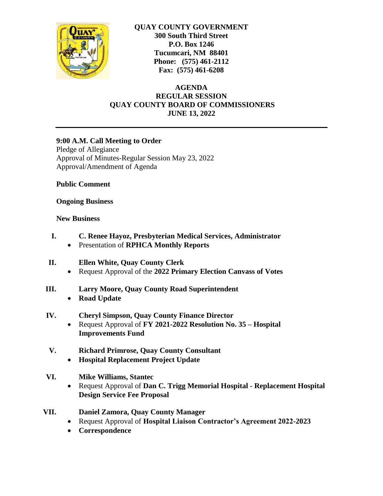

**QUAY COUNTY GOVERNMENT 300 South Third Street P.O. Box 1246 Tucumcari, NM 88401 Phone: (575) 461-2112 Fax: (575) 461-6208**

**AGENDA REGULAR SESSION QUAY COUNTY BOARD OF COMMISSIONERS JUNE 13, 2022**

### **9:00 A.M. Call Meeting to Order**

Pledge of Allegiance Approval of Minutes-Regular Session May 23, 2022 Approval/Amendment of Agenda

### **Public Comment**

### **Ongoing Business**

### **New Business**

- **I. C. Renee Hayoz, Presbyterian Medical Services, Administrator**
	- Presentation of **RPHCA Monthly Reports**
- **II. Ellen White, Quay County Clerk**
	- Request Approval of the **2022 Primary Election Canvass of Votes**
- **III. Larry Moore, Quay County Road Superintendent**
	- **Road Update**

## **IV. Cheryl Simpson, Quay County Finance Director**

- Request Approval of **FY 2021-2022 Resolution No. 35 – Hospital Improvements Fund**
- **V. Richard Primrose, Quay County Consultant**
	- **Hospital Replacement Project Update**
- **VI. Mike Williams, Stantec**
	- Request Approval of **Dan C. Trigg Memorial Hospital - Replacement Hospital Design Service Fee Proposal**
- **VII. Daniel Zamora, Quay County Manager**
	- Request Approval of **Hospital Liaison Contractor's Agreement 2022-2023**
	- **Correspondence**